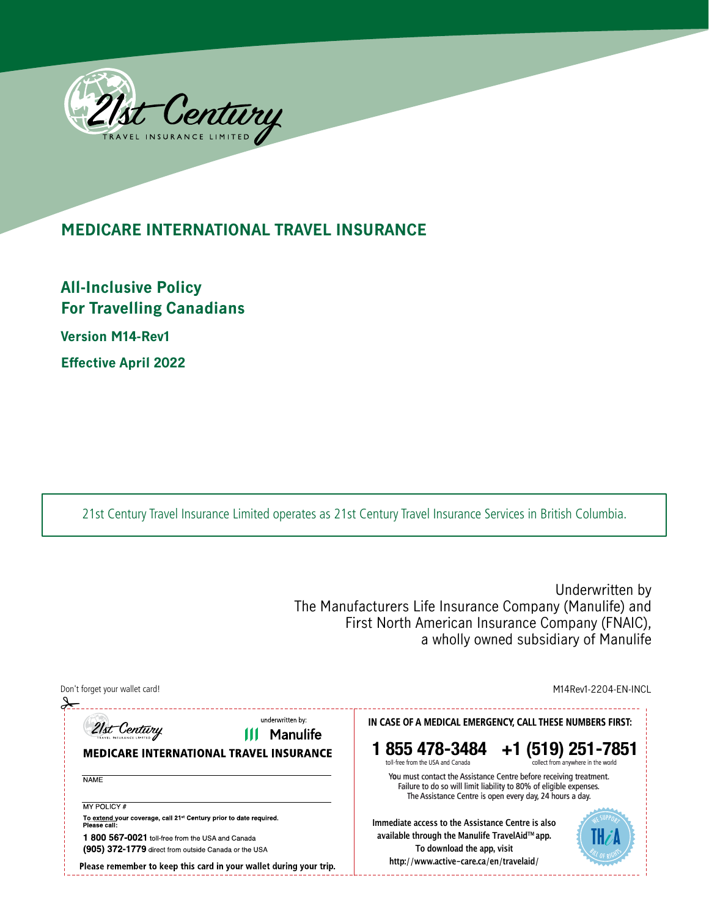

# **MEDICARE INTERNATIONAL TRAVEL INSURANCE**

**All-Inclusive Policy For Travelling Canadians Version M14-Rev1 Effective April 2022**

21st Century Travel Insurance Limited operates as 21st Century Travel Insurance Services in British Columbia.

Underwritten by The Manufacturers Life Insurance Company (Manulife) and First North American Insurance Company (FNAIC), a wholly owned subsidiary of Manulife

| Don't forget your wallet card!                                                                           | M14Rev1-2204-EN-INCL                                                                                                                                                                                 |  |
|----------------------------------------------------------------------------------------------------------|------------------------------------------------------------------------------------------------------------------------------------------------------------------------------------------------------|--|
| underwritten by:<br>21st Century<br>Manulife<br><b>MEDICARE INTERNATIONAL TRAVEL INSURANCE</b>           | IN CASE OF A MEDICAL EMERGENCY, CALL THESE NUMBERS FIRST:<br>1 855 478-3484 +1 (519) 251-7851<br>collect from anywhere in the world<br>toll-free from the USA and Canada                             |  |
| <b>NAME</b>                                                                                              | You must contact the Assistance Centre before receiving treatment.<br>Failure to do so will limit liability to 80% of eligible expenses.<br>The Assistance Centre is open every day, 24 hours a day. |  |
| MY POLICY #                                                                                              |                                                                                                                                                                                                      |  |
| To extend your coverage, call 21 <sup>st</sup> Century prior to date required.<br>Please call:           | Immediate access to the Assistance Centre is also                                                                                                                                                    |  |
| 1 800 567-0021 toll-free from the USA and Canada<br>(905) 372-1779 direct from outside Canada or the USA | available through the Manulife TravelAid™app.<br>To download the app, visit                                                                                                                          |  |
| Please remember to keep this card in your wallet during your trip.                                       | http://www.active-care.ca/en/travelaid/                                                                                                                                                              |  |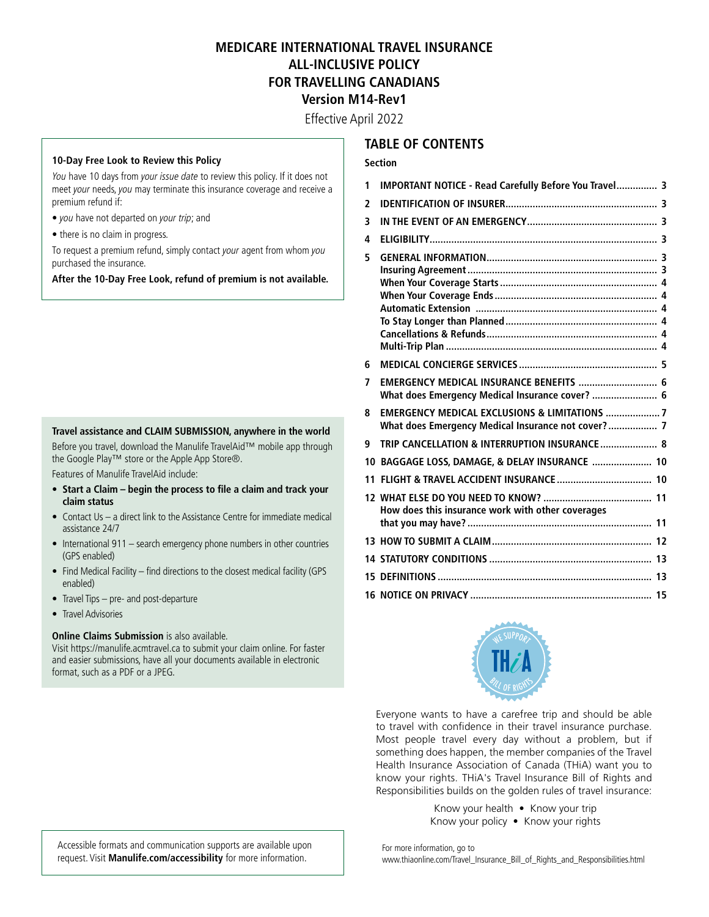## **MEDICARE INTERNATIONAL TRAVEL INSURANCE ALL-INCLUSIVE POLICY FOR TRAVELLING CANADIANS Version M14-Rev1**

Effective April 2022

#### **10-Day Free Look to Review this Policy**

You have 10 days from your issue date to review this policy. If it does not meet your needs, you may terminate this insurance coverage and receive a premium refund if:

- you have not departed on your trip; and
- there is no claim in progress.

To request a premium refund, simply contact your agent from whom you purchased the insurance.

**After the 10-Day Free Look, refund of premium is not available.**

#### **Travel assistance and CLAIM SUBMISSION, anywhere in the world**

Before you travel, download the Manulife TravelAid™ mobile app through the Google Play™ store or the Apple App Store®.

Features of Manulife TravelAid include:

- **• Start a Claim begin the process to file a claim and track your claim status**
- Contact Us a direct link to the Assistance Centre for immediate medical assistance 24/7
- International 911 search emergency phone numbers in other countries (GPS enabled)
- Find Medical Facility find directions to the closest medical facility (GPS enabled)
- Travel Tips pre- and post-departure
- Travel Advisories

#### **Online Claims Submission** is also available.

Visit<https://manulife.acmtravel.ca>to submit your claim online. For faster and easier submissions, have all your documents available in electronic format, such as a PDF or a JPEG.

#### **TABLE OF CONTENTS**

#### **Section**

| 1  | IMPORTANT NOTICE - Read Carefully Before You Travel 3                                                         |
|----|---------------------------------------------------------------------------------------------------------------|
| 2  |                                                                                                               |
| 3  |                                                                                                               |
| 4  |                                                                                                               |
| 5  |                                                                                                               |
| 6  |                                                                                                               |
| 7  | EMERGENCY MEDICAL INSURANCE BENEFITS  6<br>What does Emergency Medical Insurance cover?  6                    |
| 8  | <b>EMERGENCY MEDICAL EXCLUSIONS &amp; LIMITATIONS 7</b><br>What does Emergency Medical Insurance not cover? 7 |
| 9  | TRIP CANCELLATION & INTERRUPTION INSURANCE 8                                                                  |
| 10 | BAGGAGE LOSS, DAMAGE, & DELAY INSURANCE  10                                                                   |
| 11 |                                                                                                               |
|    | How does this insurance work with other coverages                                                             |
|    |                                                                                                               |
|    |                                                                                                               |
|    |                                                                                                               |
|    |                                                                                                               |



Everyone wants to have a carefree trip and should be able to travel with confidence in their travel insurance purchase. Most people travel every day without a problem, but if something does happen, the member companies of the Travel Health Insurance Association of Canada (THiA) want you to know your rights. THiA's Travel Insurance Bill of Rights and Responsibilities builds on the golden rules of travel insurance:

> Know your health • Know your trip Know your policy • Know your rights

Accessible formats and communication supports are available upon request. Visit **[Manulife.com/accessibility](www.manulife.com/accessibility)** for more information.

For more information, go to

[www.thiaonline.com/Travel\\_Insurance\\_Bill\\_of\\_Rights\\_and\\_Responsibilities.html](www.thiaonline.com/Travel_Insurance_Bill_of_Rights_and_Responsibilities.html)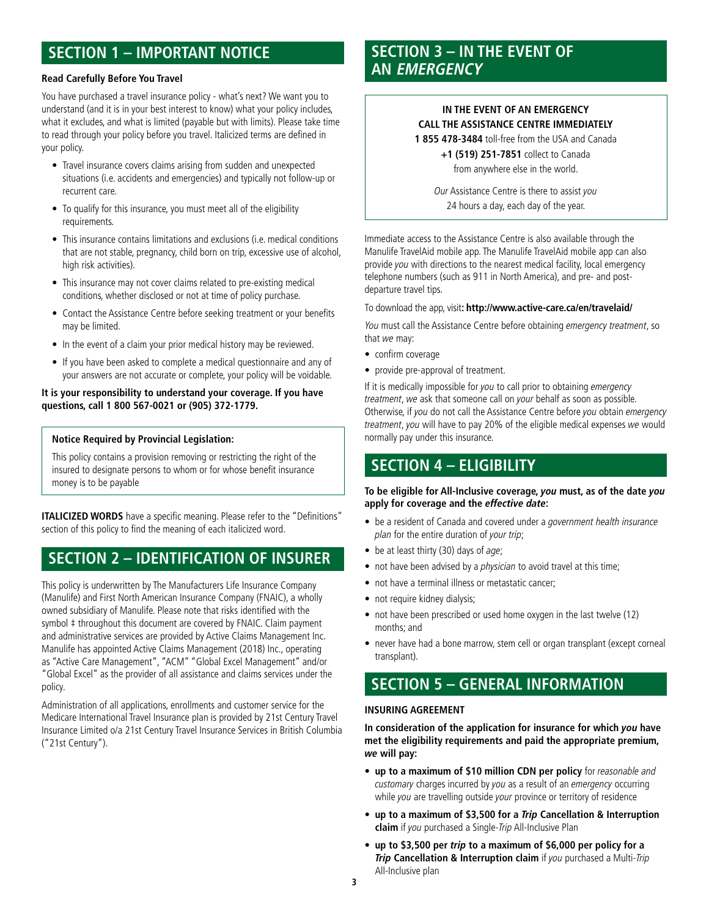# **SECTION 1 – IMPORTANT NOTICE**

#### **Read Carefully Before You Travel**

You have purchased a travel insurance policy - what's next? We want you to understand (and it is in your best interest to know) what your policy includes, what it excludes, and what is limited (payable but with limits). Please take time to read through your policy before you travel. Italicized terms are defined in your policy.

- Travel insurance covers claims arising from sudden and unexpected situations (i.e. accidents and emergencies) and typically not follow-up or recurrent care.
- To qualify for this insurance, you must meet all of the eligibility requirements.
- This insurance contains limitations and exclusions (i.e. medical conditions that are not stable, pregnancy, child born on trip, excessive use of alcohol, high risk activities).
- This insurance may not cover claims related to pre-existing medical conditions, whether disclosed or not at time of policy purchase.
- Contact the Assistance Centre before seeking treatment or your benefits may be limited.
- In the event of a claim your prior medical history may be reviewed.
- If you have been asked to complete a medical questionnaire and any of your answers are not accurate or complete, your policy will be voidable.

#### **It is your responsibility to understand your coverage. If you have questions, call 1 800 567-0021 or (905) 372-1779.**

#### **Notice Required by Provincial Legislation:**

This policy contains a provision removing or restricting the right of the insured to designate persons to whom or for whose benefit insurance money is to be payable

**ITALICIZED WORDS** have a specific meaning. Please refer to the "Definitions" section of this policy to find the meaning of each italicized word.

# **SECTION 2 – IDENTIFICATION OF INSURER**

This policy is underwritten by The Manufacturers Life Insurance Company (Manulife) and First North American Insurance Company (FNAIC), a wholly owned subsidiary of Manulife. Please note that risks identified with the symbol  $\ddagger$  throughout this document are covered by FNAIC. Claim payment and administrative services are provided by Active Claims Management Inc. Manulife has appointed Active Claims Management (2018) Inc., operating as "Active Care Management", "ACM" "Global Excel Management" and/or "Global Excel" as the provider of all assistance and claims services under the policy.

Administration of all applications, enrollments and customer service for the Medicare International Travel Insurance plan is provided by 21st Century Travel Insurance Limited o/a 21st Century Travel Insurance Services in British Columbia ("21st Century").

## **SECTION 3 – IN THE EVENT OF AN EMERGENCY**

#### **IN THE EVENT OF AN EMERGENCY CALL THE ASSISTANCE CENTRE IMMEDIATELY**

**1 855 478-3484** toll-free from the USA and Canada

**+1 (519) 251-7851** collect to Canada from anywhere else in the world.

Our Assistance Centre is there to assist you 24 hours a day, each day of the year.

Immediate access to the Assistance Centre is also available through the Manulife TravelAid mobile app. The Manulife TravelAid mobile app can also provide you with directions to the nearest medical facility, local emergency telephone numbers (such as 911 in North America), and pre- and postdeparture travel tips.

#### To download the app, visit**: <http://www.active-care.ca/en/travelaid/>**

You must call the Assistance Centre before obtaining emergency treatment, so that we may:

- confirm coverage
- provide pre-approval of treatment.

If it is medically impossible for you to call prior to obtaining emergency treatment, we ask that someone call on your behalf as soon as possible. Otherwise, if you do not call the Assistance Centre before you obtain emergency treatment, you will have to pay 20% of the eligible medical expenses we would normally pay under this insurance.

## **SECTION 4 – ELIGIBILITY**

#### **To be eligible for All-Inclusive coverage, you must, as of the date you apply for coverage and the effective date:**

- be a resident of Canada and covered under a government health insurance plan for the entire duration of your trip;
- be at least thirty (30) days of age;
- not have been advised by a *physician* to avoid travel at this time;
- not have a terminal illness or metastatic cancer;
- not require kidney dialysis;
- not have been prescribed or used home oxygen in the last twelve (12) months; and
- never have had a bone marrow, stem cell or organ transplant (except corneal transplant).

## **SECTION 5 – GENERAL INFORMATION**

#### **INSURING AGREEMENT**

**In consideration of the application for insurance for which you have met the eligibility requirements and paid the appropriate premium, we will pay:** 

- **• up to a maximum of \$10 million CDN per policy** for reasonable and customary charges incurred by you as a result of an emergency occurring while you are travelling outside your province or territory of residence
- **• up to a maximum of \$3,500 for a Trip Cancellation & Interruption claim** if you purchased a Single-Trip All-Inclusive Plan
- **• up to \$3,500 per trip to a maximum of \$6,000 per policy for a Trip Cancellation & Interruption claim** if you purchased a Multi-Trip All-Inclusive plan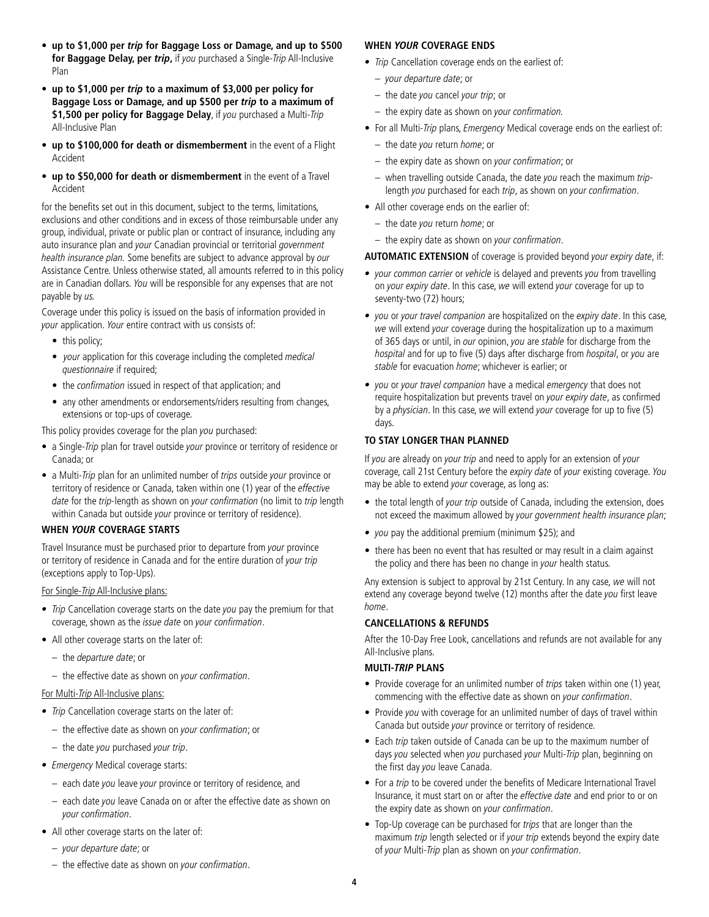- **• up to \$1,000 per trip for Baggage Loss or Damage, and up to \$500 for Baggage Delay, per trip,** if you purchased a Single-Trip All-Inclusive Plan
- **• up to \$1,000 per trip to a maximum of \$3,000 per policy for Baggage Loss or Damage, and up \$500 per trip to a maximum of**  \$1,500 per policy for Baggage Delay, if you purchased a Multi-Trip All-Inclusive Plan
- **• up to \$100,000 for death or dismemberment** in the event of a Flight Accident
- **• up to \$50,000 for death or dismemberment** in the event of a Travel Accident

for the benefits set out in this document, subject to the terms, limitations, exclusions and other conditions and in excess of those reimbursable under any group, individual, private or public plan or contract of insurance, including any auto insurance plan and your Canadian provincial or territorial government health insurance plan. Some benefits are subject to advance approval by our Assistance Centre. Unless otherwise stated, all amounts referred to in this policy are in Canadian dollars. You will be responsible for any expenses that are not payable by us.

Coverage under this policy is issued on the basis of information provided in your application. Your entire contract with us consists of:

- this policy;
- your application for this coverage including the completed medical questionnaire if required;
- the *confirmation* issued in respect of that application; and
- any other amendments or endorsements/riders resulting from changes, extensions or top-ups of coverage.

This policy provides coverage for the plan you purchased:

- a Single-Trip plan for travel outside your province or territory of residence or Canada; or
- a Multi-Trip plan for an unlimited number of trips outside your province or territory of residence or Canada, taken within one (1) year of the effective date for the trip-length as shown on your confirmation (no limit to trip length within Canada but outside your province or territory of residence).

#### **WHEN YOUR COVERAGE STARTS**

Travel Insurance must be purchased prior to departure from your province or territory of residence in Canada and for the entire duration of your trip (exceptions apply to Top-Ups).

For Single-Trip All-Inclusive plans:

- Trip Cancellation coverage starts on the date you pay the premium for that coverage, shown as the issue date on your confirmation.
- All other coverage starts on the later of:
	- the departure date; or
	- the effective date as shown on your confirmation.

#### For Multi-*Trip* All-Inclusive plans:

- Trip Cancellation coverage starts on the later of:
	- the effective date as shown on your confirmation; or
	- the date you purchased your trip.
- Emergency Medical coverage starts:
	- each date you leave your province or territory of residence, and
	- each date you leave Canada on or after the effective date as shown on your confirmation.
- All other coverage starts on the later of:
	- your departure date; or
	- the effective date as shown on your confirmation.

#### **WHEN YOUR COVERAGE ENDS**

- Trip Cancellation coverage ends on the earliest of:
	- your departure date; or
	- the date you cancel your trip; or
	- the expiry date as shown on your confirmation.
- For all Multi-Trip plans, Emergency Medical coverage ends on the earliest of:
	- the date you return home; or
	- the expiry date as shown on your confirmation; or
	- $-$  when travelling outside Canada, the date you reach the maximum triplength you purchased for each trip, as shown on your confirmation.
- All other coverage ends on the earlier of:
	- the date you return home; or
	- the expiry date as shown on your confirmation.

**AUTOMATIC EXTENSION** of coverage is provided beyond your expiry date, if:

- your common carrier or vehicle is delayed and prevents you from travelling on your expiry date. In this case, we will extend your coverage for up to seventy-two (72) hours;
- you or your travel companion are hospitalized on the expiry date. In this case, we will extend your coverage during the hospitalization up to a maximum of 365 days or until, in our opinion, you are stable for discharge from the hospital and for up to five (5) days after discharge from hospital, or you are stable for evacuation home; whichever is earlier; or
- you or your travel companion have a medical emergency that does not require hospitalization but prevents travel on *vour expiry date*, as confirmed by a *physician*. In this case, we will extend your coverage for up to five (5) days.

#### **TO STAY LONGER THAN PLANNED**

If you are already on your trip and need to apply for an extension of your coverage, call 21st Century before the expiry date of your existing coverage. You may be able to extend your coverage, as long as:

- the total length of your trip outside of Canada, including the extension, does not exceed the maximum allowed by your government health insurance plan;
- you pay the additional premium (minimum \$25); and
- there has been no event that has resulted or may result in a claim against the policy and there has been no change in your health status.

Any extension is subject to approval by 21st Century. In any case, we will not extend any coverage beyond twelve (12) months after the date you first leave home.

#### **CANCELLATIONS & REFUNDS**

After the 10-Day Free Look, cancellations and refunds are not available for any All-Inclusive plans.

#### **MULTI-TRIP PLANS**

- Provide coverage for an unlimited number of *trips* taken within one (1) year, commencing with the effective date as shown on your confirmation.
- Provide you with coverage for an unlimited number of days of travel within Canada but outside your province or territory of residence.
- Each trip taken outside of Canada can be up to the maximum number of days you selected when you purchased your Multi-Trip plan, beginning on the first day you leave Canada.
- For a trip to be covered under the benefits of Medicare International Travel Insurance, it must start on or after the effective date and end prior to or on the expiry date as shown on your confirmation.
- Top-Up coverage can be purchased for *trips* that are longer than the maximum *trip* length selected or if your trip extends beyond the expiry date of your Multi-Trip plan as shown on your confirmation.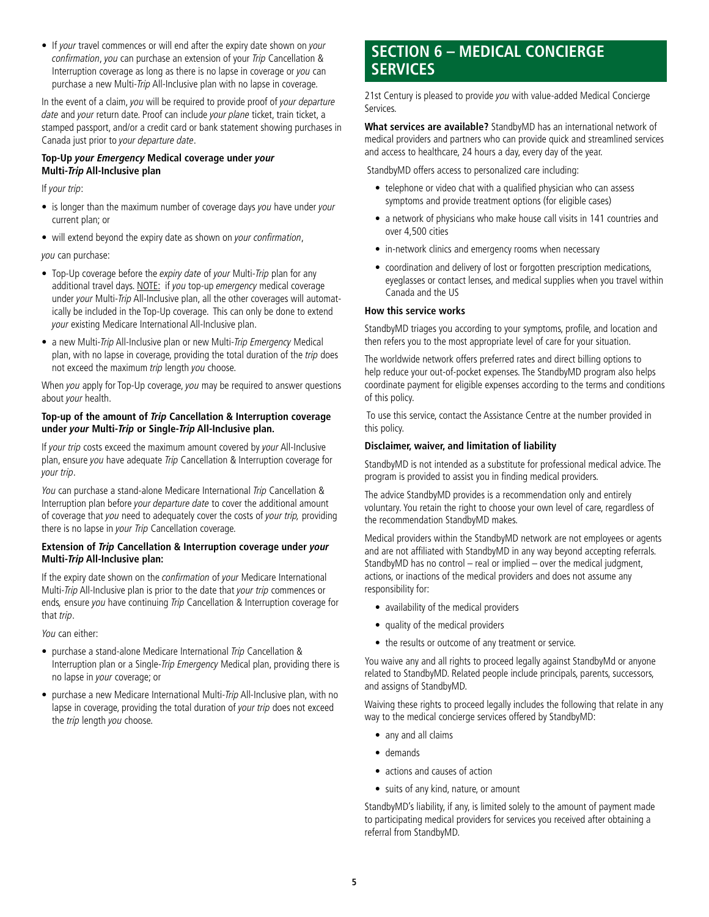• If your travel commences or will end after the expiry date shown on your confirmation, you can purchase an extension of your Trip Cancellation & Interruption coverage as long as there is no lapse in coverage or you can purchase a new Multi-Trip All-Inclusive plan with no lapse in coverage.

In the event of a claim, you will be required to provide proof of your departure date and your return date. Proof can include your plane ticket, train ticket, a stamped passport, and/or a credit card or bank statement showing purchases in Canada just prior to your departure date.

#### **Top-Up your Emergency Medical coverage under your Multi-Trip All-Inclusive plan**

If your trip:

- is longer than the maximum number of coverage days you have under your current plan; or
- will extend beyond the expiry date as shown on your confirmation,

you can purchase:

- Top-Up coverage before the expiry date of your Multi-Trip plan for any additional travel days. NOTE: if you top-up emergency medical coverage under your Multi-Trip All-Inclusive plan, all the other coverages will automatically be included in the Top-Up coverage. This can only be done to extend your existing Medicare International All-Inclusive plan.
- a new Multi-Trip All-Inclusive plan or new Multi-Trip Emergency Medical plan, with no lapse in coverage, providing the total duration of the trip does not exceed the maximum trip length you choose.

When you apply for Top-Up coverage, you may be required to answer questions about your health.

#### **Top-up of the amount of Trip Cancellation & Interruption coverage under your Multi-Trip or Single-Trip All-Inclusive plan.**

If your trip costs exceed the maximum amount covered by your All-Inclusive plan, ensure you have adequate Trip Cancellation & Interruption coverage for your trip.

You can purchase a stand-alone Medicare International Trip Cancellation & Interruption plan before your departure date to cover the additional amount of coverage that you need to adequately cover the costs of your trip, providing there is no lapse in your Trip Cancellation coverage.

#### **Extension of Trip Cancellation & Interruption coverage under your Multi-Trip All-Inclusive plan:**

If the expiry date shown on the confirmation of your Medicare International Multi-Trip All-Inclusive plan is prior to the date that your trip commences or ends, ensure you have continuing Trip Cancellation & Interruption coverage for that trip.

You can either:

- purchase a stand-alone Medicare International Trip Cancellation & Interruption plan or a Single-Trip Emergency Medical plan, providing there is no lapse in your coverage; or
- purchase a new Medicare International Multi-Trip All-Inclusive plan, with no lapse in coverage, providing the total duration of your trip does not exceed the trip length you choose.

## **SECTION 6 – MEDICAL CONCIERGE SERVICES**

21st Century is pleased to provide you with value-added Medical Concierge Services.

**What services are available?** StandbyMD has an international network of medical providers and partners who can provide quick and streamlined services and access to healthcare, 24 hours a day, every day of the year.

StandbyMD offers access to personalized care including:

- telephone or video chat with a qualified physician who can assess symptoms and provide treatment options (for eligible cases)
- a network of physicians who make house call visits in 141 countries and over 4,500 cities
- in-network clinics and emergency rooms when necessary
- coordination and delivery of lost or forgotten prescription medications, eyeglasses or contact lenses, and medical supplies when you travel within Canada and the US

#### **How this service works**

StandbyMD triages you according to your symptoms, profile, and location and then refers you to the most appropriate level of care for your situation.

The worldwide network offers preferred rates and direct billing options to help reduce your out-of-pocket expenses. The StandbyMD program also helps coordinate payment for eligible expenses according to the terms and conditions of this policy.

 To use this service, contact the Assistance Centre at the number provided in this policy.

#### **Disclaimer, waiver, and limitation of liability**

StandbyMD is not intended as a substitute for professional medical advice. The program is provided to assist you in finding medical providers.

The advice StandbyMD provides is a recommendation only and entirely voluntary. You retain the right to choose your own level of care, regardless of the recommendation StandbyMD makes.

Medical providers within the StandbyMD network are not employees or agents and are not affiliated with StandbyMD in any way beyond accepting referrals. StandbyMD has no control – real or implied – over the medical judgment, actions, or inactions of the medical providers and does not assume any responsibility for:

- availability of the medical providers
- quality of the medical providers
- the results or outcome of any treatment or service.

You waive any and all rights to proceed legally against StandbyMd or anyone related to StandbyMD. Related people include principals, parents, successors, and assigns of StandbyMD.

Waiving these rights to proceed legally includes the following that relate in any way to the medical concierge services offered by StandbyMD:

- any and all claims
- demands
- actions and causes of action
- suits of any kind, nature, or amount

StandbyMD's liability, if any, is limited solely to the amount of payment made to participating medical providers for services you received after obtaining a referral from StandbyMD.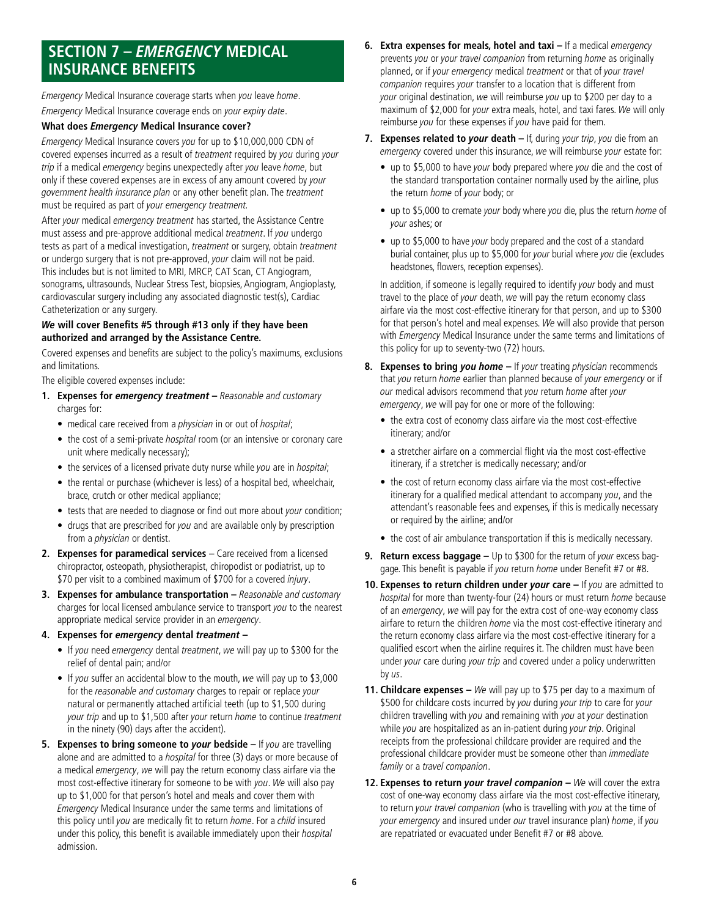## **SECTION 7 – EMERGENCY MEDICAL INSURANCE BENEFITS**

Emergency Medical Insurance coverage starts when you leave home. Emergency Medical Insurance coverage ends on your expiry date.

#### **What does Emergency Medical Insurance cover?**

Emergency Medical Insurance covers you for up to \$10,000,000 CDN of covered expenses incurred as a result of treatment required by you during your trip if a medical emergency begins unexpectedly after you leave home, but only if these covered expenses are in excess of any amount covered by your government health insurance plan or any other benefit plan. The treatment must be required as part of your emergency treatment.

After your medical emergency treatment has started, the Assistance Centre must assess and pre-approve additional medical treatment. If you undergo tests as part of a medical investigation, treatment or surgery, obtain treatment or undergo surgery that is not pre-approved, your claim will not be paid. This includes but is not limited to MRI, MRCP, CAT Scan, CT Angiogram, sonograms, ultrasounds, Nuclear Stress Test, biopsies, Angiogram, Angioplasty, cardiovascular surgery including any associated diagnostic test(s), Cardiac Catheterization or any surgery.

#### **We will cover Benefits #5 through #13 only if they have been authorized and arranged by the Assistance Centre.**

Covered expenses and benefits are subject to the policy's maximums, exclusions and limitations.

The eligible covered expenses include:

- **1. Expenses for emergency treatment** Reasonable and customary charges for:
	- medical care received from a *physician* in or out of *hospital*;
	- the cost of a semi-private *hospital* room (or an intensive or coronary care unit where medically necessary);
	- the services of a licensed private duty nurse while you are in hospital;
	- the rental or purchase (whichever is less) of a hospital bed, wheelchair, brace, crutch or other medical appliance;
	- tests that are needed to diagnose or find out more about your condition;
	- drugs that are prescribed for you and are available only by prescription from a *physician* or dentist.
- 2. **Expenses for paramedical services** Care received from a licensed chiropractor, osteopath, physiotherapist, chiropodist or podiatrist, up to \$70 per visit to a combined maximum of \$700 for a covered injury.
- **3. Expenses for ambulance transportation** Reasonable and customary charges for local licensed ambulance service to transport you to the nearest appropriate medical service provider in an emergency.

#### **4. Expenses for emergency dental treatment –**

- If you need emergency dental treatment, we will pay up to \$300 for the relief of dental pain; and/or
- If you suffer an accidental blow to the mouth, we will pay up to \$3,000 for the reasonable and customary charges to repair or replace your natural or permanently attached artificial teeth (up to \$1,500 during your trip and up to \$1,500 after your return home to continue treatment in the ninety (90) days after the accident).
- **5. Expenses to bring someone to your bedside** If you are travelling alone and are admitted to a *hospital* for three (3) days or more because of a medical emergency, we will pay the return economy class airfare via the most cost-effective itinerary for someone to be with you. We will also pay up to \$1,000 for that person's hotel and meals and cover them with Emergency Medical Insurance under the same terms and limitations of this policy until you are medically fit to return home. For a child insured under this policy, this benefit is available immediately upon their hospital admission.
- **6. Extra expenses for meals, hotel and taxi** If a medical emergency prevents you or your travel companion from returning home as originally planned, or if your emergency medical treatment or that of your travel companion requires your transfer to a location that is different from your original destination, we will reimburse you up to \$200 per day to a maximum of \$2,000 for your extra meals, hotel, and taxi fares. We will only reimburse you for these expenses if you have paid for them.
- **7. Expenses related to your death** If, during your trip, you die from an emergency covered under this insurance, we will reimburse your estate for:
	- up to \$5,000 to have your body prepared where you die and the cost of the standard transportation container normally used by the airline, plus the return home of your body; or
	- up to \$5,000 to cremate your body where you die, plus the return home of your ashes; or
	- up to \$5,000 to have your body prepared and the cost of a standard burial container, plus up to \$5,000 for your burial where you die (excludes headstones, flowers, reception expenses).

In addition, if someone is legally required to identify your body and must travel to the place of your death, we will pay the return economy class airfare via the most cost-effective itinerary for that person, and up to \$300 for that person's hotel and meal expenses. We will also provide that person with *Emergency* Medical Insurance under the same terms and limitations of this policy for up to seventy-two (72) hours.

- **8. Expenses to bring you home** If your treating physician recommends that you return home earlier than planned because of your emergency or if our medical advisors recommend that you return home after your emergency, we will pay for one or more of the following:
	- the extra cost of economy class airfare via the most cost-effective itinerary; and/or
	- a stretcher airfare on a commercial flight via the most cost-effective itinerary, if a stretcher is medically necessary; and/or
	- the cost of return economy class airfare via the most cost-effective itinerary for a qualified medical attendant to accompany you, and the attendant's reasonable fees and expenses, if this is medically necessary or required by the airline; and/or
	- the cost of air ambulance transportation if this is medically necessary.
- **9. Return excess baggage** Up to \$300 for the return of your excess baggage. This benefit is payable if you return home under Benefit #7 or #8.
- **10. Expenses to return children under your care If you are admitted to** hospital for more than twenty-four (24) hours or must return home because of an emergency, we will pay for the extra cost of one-way economy class airfare to return the children home via the most cost-effective itinerary and the return economy class airfare via the most cost-effective itinerary for a qualified escort when the airline requires it. The children must have been under your care during your trip and covered under a policy underwritten by us.
- **11. Childcare expenses –** We will pay up to \$75 per day to a maximum of \$500 for childcare costs incurred by you during your trip to care for your children travelling with you and remaining with you at your destination while you are hospitalized as an in-patient during your trip. Original receipts from the professional childcare provider are required and the professional childcare provider must be someone other than immediate family or a travel companion.
- **12. Expenses to return your travel companion We will cover the extra** cost of one-way economy class airfare via the most cost-effective itinerary, to return your travel companion (who is travelling with you at the time of your emergency and insured under our travel insurance plan) home, if you are repatriated or evacuated under Benefit #7 or #8 above.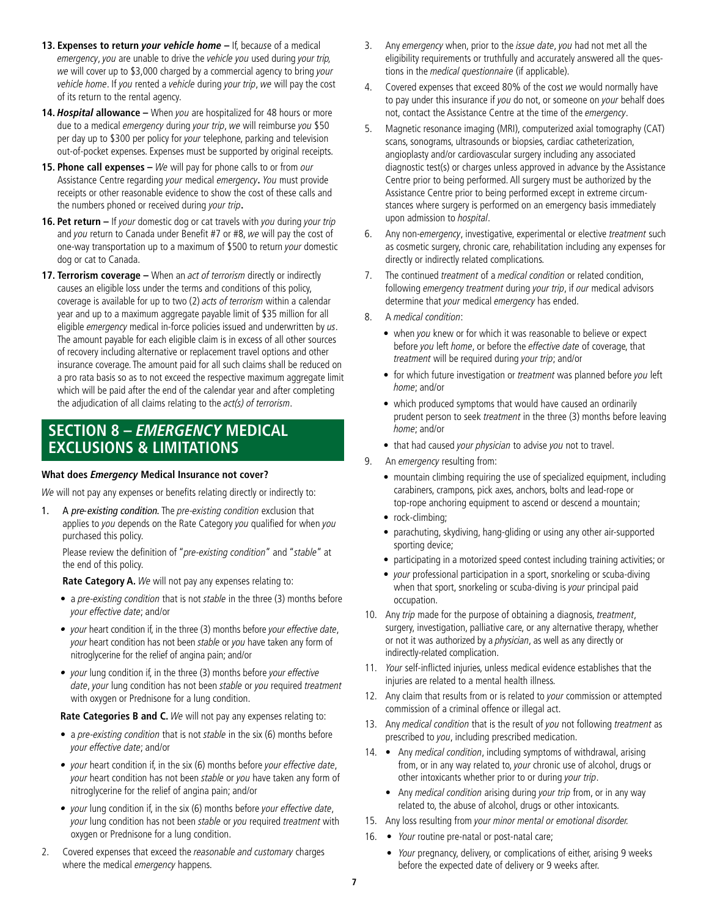- **13. Expenses to return your vehicle home** If, because of a medical emergency, you are unable to drive the vehicle you used during your trip, we will cover up to \$3,000 charged by a commercial agency to bring your vehicle home. If you rented a vehicle during your trip, we will pay the cost of its return to the rental agency.
- 14. **Hospital allowance** When you are hospitalized for 48 hours or more due to a medical emergency during your trip, we will reimburse you \$50 per day up to \$300 per policy for your telephone, parking and television out-of-pocket expenses. Expenses must be supported by original receipts.
- **15. Phone call expenses** We will pay for phone calls to or from our Assistance Centre regarding your medical emergency**.** You must provide receipts or other reasonable evidence to show the cost of these calls and the numbers phoned or received during your trip**.**
- **16. Pet return If your domestic dog or cat travels with you during your trip** and you return to Canada under Benefit #7 or #8, we will pay the cost of one-way transportation up to a maximum of \$500 to return your domestic dog or cat to Canada.
- **17. Terrorism coverage** When an act of terrorism directly or indirectly causes an eligible loss under the terms and conditions of this policy, coverage is available for up to two (2) acts of terrorism within a calendar year and up to a maximum aggregate payable limit of \$35 million for all eligible *emergency* medical in-force policies issued and underwritten by us. The amount payable for each eligible claim is in excess of all other sources of recovery including alternative or replacement travel options and other insurance coverage. The amount paid for all such claims shall be reduced on a pro rata basis so as to not exceed the respective maximum aggregate limit which will be paid after the end of the calendar year and after completing the adjudication of all claims relating to the act(s) of terrorism.

## **SECTION 8 – EMERGENCY MEDICAL EXCLUSIONS & LIMITATIONS**

#### **What does Emergency Medical Insurance not cover?**

We will not pay any expenses or benefits relating directly or indirectly to:

1. A pre-existing condition. The pre-existing condition exclusion that applies to you depends on the Rate Category you qualified for when you purchased this policy.

Please review the definition of "pre-existing condition" and "stable" at the end of this policy.

**Rate Category A.** We will not pay any expenses relating to:

- a pre-existing condition that is not stable in the three (3) months before your effective date; and/or
- your heart condition if, in the three (3) months before your effective date, your heart condition has not been stable or you have taken any form of nitroglycerine for the relief of angina pain; and/or
- your lung condition if, in the three (3) months before your effective date, your lung condition has not been stable or you required treatment with oxygen or Prednisone for a lung condition.

**Rate Categories B and C.** We will not pay any expenses relating to:

- a pre-existing condition that is not stable in the six (6) months before your effective date; and/or
- your heart condition if, in the six (6) months before your effective date, your heart condition has not been stable or you have taken any form of nitroglycerine for the relief of angina pain; and/or
- your lung condition if, in the six (6) months before your effective date, your lung condition has not been stable or you required treatment with oxygen or Prednisone for a lung condition.
- 2. Covered expenses that exceed the reasonable and customary charges where the medical emergency happens.
- 3. Any emergency when, prior to the *issue date*, you had not met all the eligibility requirements or truthfully and accurately answered all the questions in the medical questionnaire (if applicable).
- 4. Covered expenses that exceed 80% of the cost we would normally have to pay under this insurance if you do not, or someone on your behalf does not, contact the Assistance Centre at the time of the emergency.
- 5. Magnetic resonance imaging (MRI), computerized axial tomography (CAT) scans, sonograms, ultrasounds or biopsies, cardiac catheterization, angioplasty and/or cardiovascular surgery including any associated diagnostic test(s) or charges unless approved in advance by the Assistance Centre prior to being performed. All surgery must be authorized by the Assistance Centre prior to being performed except in extreme circumstances where surgery is performed on an emergency basis immediately upon admission to hospital.
- 6. Any non-emergency, investigative, experimental or elective treatment such as cosmetic surgery, chronic care, rehabilitation including any expenses for directly or indirectly related complications.
- 7. The continued treatment of a medical condition or related condition, following emergency treatment during your trip, if our medical advisors determine that your medical emergency has ended.
- A medical condition:
	- when you knew or for which it was reasonable to believe or expect before you left home, or before the effective date of coverage, that treatment will be required during your trip; and/or
	- for which future investigation or treatment was planned before you left home; and/or
	- which produced symptoms that would have caused an ordinarily prudent person to seek treatment in the three (3) months before leaving home; and/or
	- that had caused your physician to advise you not to travel.
- 9. An emergency resulting from:
	- mountain climbing requiring the use of specialized equipment, including carabiners, crampons, pick axes, anchors, bolts and lead-rope or top-rope anchoring equipment to ascend or descend a mountain;
	- rock-climbing;
	- parachuting, skydiving, hang-gliding or using any other air-supported sporting device;
	- participating in a motorized speed contest including training activities; or
	- your professional participation in a sport, snorkeling or scuba-diving when that sport, snorkeling or scuba-diving is your principal paid occupation.
- 10. Any trip made for the purpose of obtaining a diagnosis, treatment, surgery, investigation, palliative care, or any alternative therapy, whether or not it was authorized by a *physician*, as well as any directly or indirectly-related complication.
- 11. Your self-inflicted injuries, unless medical evidence establishes that the injuries are related to a mental health illness.
- 12. Any claim that results from or is related to your commission or attempted commission of a criminal offence or illegal act.
- 13. Any medical condition that is the result of you not following treatment as prescribed to you, including prescribed medication.
- 14. Any medical condition, including symptoms of withdrawal, arising from, or in any way related to, your chronic use of alcohol, drugs or other intoxicants whether prior to or during your trip.
	- Any medical condition arising during your trip from, or in any way related to, the abuse of alcohol, drugs or other intoxicants.
- 15. Any loss resulting from your minor mental or emotional disorder.
- 16. Your routine pre-natal or post-natal care;
	- Your pregnancy, delivery, or complications of either, arising 9 weeks before the expected date of delivery or 9 weeks after.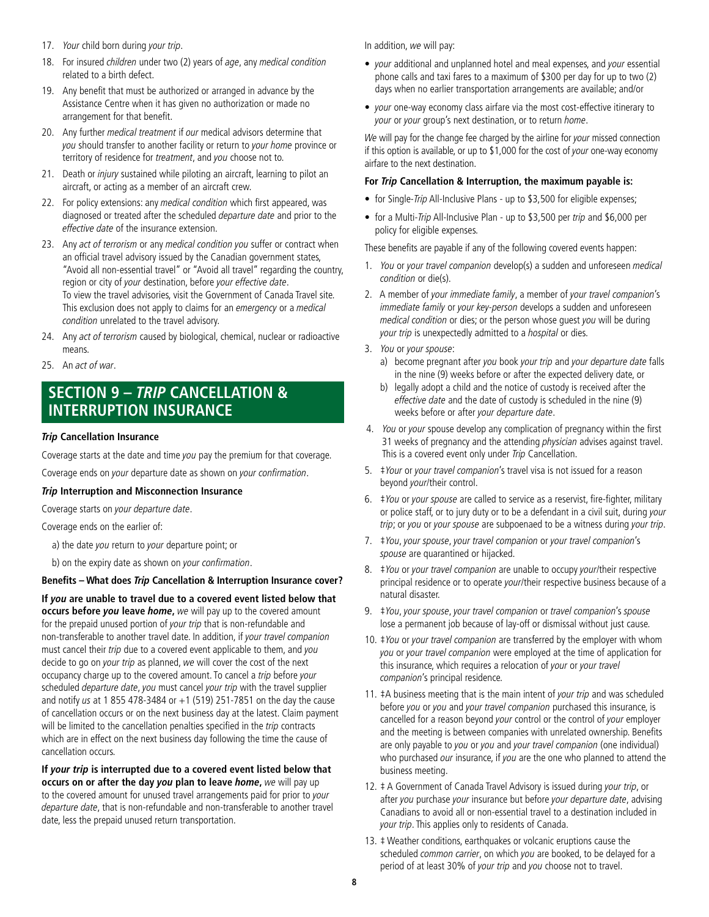- 17. Your child born during your trip.
- 18. For insured children under two (2) years of age, any medical condition related to a birth defect.
- 19. Any benefit that must be authorized or arranged in advance by the Assistance Centre when it has given no authorization or made no arrangement for that benefit.
- 20. Any further medical treatment if our medical advisors determine that you should transfer to another facility or return to your home province or territory of residence for treatment, and you choose not to.
- 21. Death or *injury* sustained while piloting an aircraft, learning to pilot an aircraft, or acting as a member of an aircraft crew.
- 22. For policy extensions: any medical condition which first appeared, was diagnosed or treated after the scheduled departure date and prior to the effective date of the insurance extension.
- 23. Any act of terrorism or any medical condition you suffer or contract when an official travel advisory issued by the Canadian government states, "Avoid all non-essential travel" or "Avoid all travel" regarding the country, region or city of your destination, before your effective date. To view the travel advisories, visit the Government of Canada Travel site. This exclusion does not apply to claims for an emergency or a medical condition unrelated to the travel advisory.
- 24. Any act of terrorism caused by biological, chemical, nuclear or radioactive means.
- 25. An act of war.

## **SECTION 9 – TRIP CANCELLATION & INTERRUPTION INSURANCE**

#### **Trip Cancellation Insurance**

Coverage starts at the date and time you pay the premium for that coverage.

Coverage ends on your departure date as shown on your confirmation.

#### **Trip Interruption and Misconnection Insurance**

Coverage starts on your departure date.

Coverage ends on the earlier of:

- a) the date you return to your departure point; or
- b) on the expiry date as shown on your confirmation.

#### **Benefits – What does Trip Cancellation & Interruption Insurance cover?**

**If you are unable to travel due to a covered event listed below that occurs before you leave home,** we will pay up to the covered amount for the prepaid unused portion of your trip that is non-refundable and non-transferable to another travel date. In addition, if your travel companion must cancel their trip due to a covered event applicable to them, and you decide to go on your trip as planned, we will cover the cost of the next occupancy charge up to the covered amount. To cancel a trip before your scheduled departure date, you must cancel your trip with the travel supplier and notify us at 1 855 478-3484 or  $+1$  (519) 251-7851 on the day the cause of cancellation occurs or on the next business day at the latest. Claim payment will be limited to the cancellation penalties specified in the trip contracts which are in effect on the next business day following the time the cause of cancellation occurs.

**If your trip is interrupted due to a covered event listed below that occurs on or after the day you plan to leave home,** we will pay up to the covered amount for unused travel arrangements paid for prior to your departure date, that is non-refundable and non-transferable to another travel date, less the prepaid unused return transportation.

In addition, we will pay:

- your additional and unplanned hotel and meal expenses, and your essential phone calls and taxi fares to a maximum of \$300 per day for up to two (2) days when no earlier transportation arrangements are available; and/or
- your one-way economy class airfare via the most cost-effective itinerary to your or your group's next destination, or to return home.

We will pay for the change fee charged by the airline for your missed connection if this option is available, or up to \$1,000 for the cost of your one-way economy airfare to the next destination.

#### **For Trip Cancellation & Interruption, the maximum payable is:**

- for Single-Trip All-Inclusive Plans up to \$3,500 for eligible expenses;
- for a Multi-Trip All-Inclusive Plan up to \$3,500 per trip and \$6,000 per policy for eligible expenses.

These benefits are payable if any of the following covered events happen:

- 1. You or your travel companion develop(s) a sudden and unforeseen medical condition or die(s).
- 2. A member of your immediate family, a member of your travel companion's immediate family or your key-person develops a sudden and unforeseen medical condition or dies; or the person whose guest you will be during your trip is unexpectedly admitted to a *hospital* or dies.
- 3. You or your spouse:
	- a) become pregnant after you book your trip and your departure date falls in the nine (9) weeks before or after the expected delivery date, or
	- b) legally adopt a child and the notice of custody is received after the effective date and the date of custody is scheduled in the nine (9) weeks before or after your departure date.
- 4. You or your spouse develop any complication of pregnancy within the first 31 weeks of pregnancy and the attending *physician* advises against travel. This is a covered event only under Trip Cancellation.
- 5. ‡Your or your travel companion's travel visa is not issued for a reason beyond your/their control.
- 6. ‡You or your spouse are called to service as a reservist, fire-fighter, military or police staff, or to jury duty or to be a defendant in a civil suit, during your trip; or you or your spouse are subpoenaed to be a witness during your trip.
- 7. ‡You, your spouse, your travel companion or your travel companion's spouse are quarantined or hijacked.
- 8. *\tiou or your travel companion* are unable to occupy your/their respective principal residence or to operate your/their respective business because of a natural disaster.
- 9. ‡You, your spouse, your travel companion or travel companion's spouse lose a permanent job because of lay-off or dismissal without just cause.
- 10. #You or your travel companion are transferred by the employer with whom you or your travel companion were employed at the time of application for this insurance, which requires a relocation of your or your travel companion's principal residence.
- 11. ‡A business meeting that is the main intent of your trip and was scheduled before you or you and your travel companion purchased this insurance, is cancelled for a reason beyond your control or the control of your employer and the meeting is between companies with unrelated ownership. Benefits are only payable to you or you and your travel companion (one individual) who purchased our insurance, if you are the one who planned to attend the business meeting.
- 12. # A Government of Canada Travel Advisory is issued during your trip, or after you purchase your insurance but before your departure date, advising Canadians to avoid all or non-essential travel to a destination included in your trip. This applies only to residents of Canada.
- 13. ‡ Weather conditions, earthquakes or volcanic eruptions cause the scheduled common carrier, on which you are booked, to be delayed for a period of at least 30% of your trip and you choose not to travel.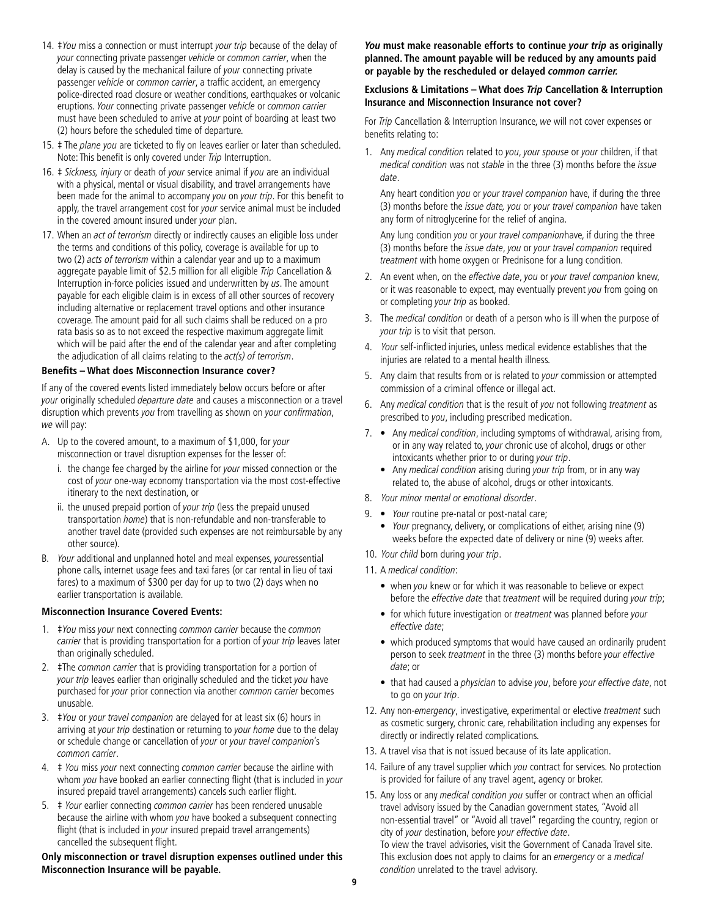- 14. #You miss a connection or must interrupt your trip because of the delay of your connecting private passenger vehicle or common carrier, when the delay is caused by the mechanical failure of your connecting private passenger vehicle or common carrier, a traffic accident, an emergency police-directed road closure or weather conditions, earthquakes or volcanic eruptions. Your connecting private passenger vehicle or common carrier must have been scheduled to arrive at your point of boarding at least two (2) hours before the scheduled time of departure.
- 15. # The plane you are ticketed to fly on leaves earlier or later than scheduled. Note: This benefit is only covered under Trip Interruption.
- 16.  $\pm$  Sickness, injury or death of your service animal if you are an individual with a physical, mental or visual disability, and travel arrangements have been made for the animal to accompany you on your trip. For this benefit to apply, the travel arrangement cost for your service animal must be included in the covered amount insured under your plan.
- 17. When an act of terrorism directly or indirectly causes an eligible loss under the terms and conditions of this policy, coverage is available for up to two (2) acts of terrorism within a calendar year and up to a maximum aggregate payable limit of \$2.5 million for all eligible Trip Cancellation & Interruption in-force policies issued and underwritten by us. The amount payable for each eligible claim is in excess of all other sources of recovery including alternative or replacement travel options and other insurance coverage. The amount paid for all such claims shall be reduced on a pro rata basis so as to not exceed the respective maximum aggregate limit which will be paid after the end of the calendar year and after completing the adjudication of all claims relating to the act(s) of terrorism.

#### **Benefits – What does Misconnection Insurance cover?**

If any of the covered events listed immediately below occurs before or after your originally scheduled *departure date* and causes a misconnection or a travel disruption which prevents you from travelling as shown on your confirmation, we will pay:

- A. Up to the covered amount, to a maximum of \$1,000, for your misconnection or travel disruption expenses for the lesser of:
	- i. the change fee charged by the airline for your missed connection or the cost of your one-way economy transportation via the most cost-effective itinerary to the next destination, or
	- ii. the unused prepaid portion of your trip (less the prepaid unused transportation home) that is non-refundable and non-transferable to another travel date (provided such expenses are not reimbursable by any other source).
- B. Your additional and unplanned hotel and meal expenses, youressential phone calls, internet usage fees and taxi fares (or car rental in lieu of taxi fares) to a maximum of \$300 per day for up to two (2) days when no earlier transportation is available.

#### **Misconnection Insurance Covered Events:**

- 1. *‡You miss your next connecting common carrier because the common* carrier that is providing transportation for a portion of your trip leaves later than originally scheduled.
- 2. #The common carrier that is providing transportation for a portion of your trip leaves earlier than originally scheduled and the ticket you have purchased for your prior connection via another common carrier becomes unusable.
- 3. ‡You or your travel companion are delayed for at least six (6) hours in arriving at your trip destination or returning to your home due to the delay or schedule change or cancellation of your or your travel companion's common carrier.
- 4.  $\pm$  You miss your next connecting common carrier because the airline with whom you have booked an earlier connecting flight (that is included in your insured prepaid travel arrangements) cancels such earlier flight.
- 5.  $\pm$  Your earlier connecting common carrier has been rendered unusable because the airline with whom you have booked a subsequent connecting flight (that is included in *your* insured prepaid travel arrangements) cancelled the subsequent flight.

**Only misconnection or travel disruption expenses outlined under this Misconnection Insurance will be payable.** 

**You must make reasonable efforts to continue your trip as originally planned. The amount payable will be reduced by any amounts paid or payable by the rescheduled or delayed common carrier.**

#### **Exclusions & Limitations – What does Trip Cancellation & Interruption Insurance and Misconnection Insurance not cover?**

For Trip Cancellation & Interruption Insurance, we will not cover expenses or benefits relating to:

1. Any medical condition related to you, your spouse or your children, if that medical condition was not stable in the three (3) months before the issue date.

Any heart condition you or your travel companion have, if during the three (3) months before the issue date, you or your travel companion have taken any form of nitroglycerine for the relief of angina.

Any lung condition you or your travel companionhave, if during the three (3) months before the issue date, you or your travel companion required treatment with home oxygen or Prednisone for a lung condition.

- 2. An event when, on the effective date, you or your travel companion knew, or it was reasonable to expect, may eventually prevent you from going on or completing your trip as booked.
- 3. The medical condition or death of a person who is ill when the purpose of your trip is to visit that person.
- 4. Your self-inflicted injuries, unless medical evidence establishes that the injuries are related to a mental health illness.
- 5. Any claim that results from or is related to your commission or attempted commission of a criminal offence or illegal act.
- 6. Any medical condition that is the result of you not following treatment as prescribed to you, including prescribed medication.
- 7. Any medical condition, including symptoms of withdrawal, arising from, or in any way related to, your chronic use of alcohol, drugs or other intoxicants whether prior to or during your trip.
	- Any medical condition arising during your trip from, or in any way related to, the abuse of alcohol, drugs or other intoxicants.
- 8. Your minor mental or emotional disorder.
- 9. Your routine pre-natal or post-natal care; • Your pregnancy, delivery, or complications of either, arising nine (9) weeks before the expected date of delivery or nine (9) weeks after.
- 10. Your child born during your trip.
- 11. A medical condition:
	- when you knew or for which it was reasonable to believe or expect before the effective date that treatment will be required during your trip;
	- for which future investigation or *treatment* was planned before your effective date;
	- which produced symptoms that would have caused an ordinarily prudent person to seek treatment in the three (3) months before your effective date; or
	- that had caused a physician to advise you, before your effective date, not to go on your trip.
- 12. Any non-emergency, investigative, experimental or elective treatment such as cosmetic surgery, chronic care, rehabilitation including any expenses for directly or indirectly related complications.
- 13. A travel visa that is not issued because of its late application.
- 14. Failure of any travel supplier which you contract for services. No protection is provided for failure of any travel agent, agency or broker.
- 15. Any loss or any medical condition you suffer or contract when an official travel advisory issued by the Canadian government states, "Avoid all non-essential travel" or "Avoid all travel" regarding the country, region or city of your destination, before your effective date.

To view the travel advisories, visit the Government of Canada Travel site. This exclusion does not apply to claims for an emergency or a medical condition unrelated to the travel advisory.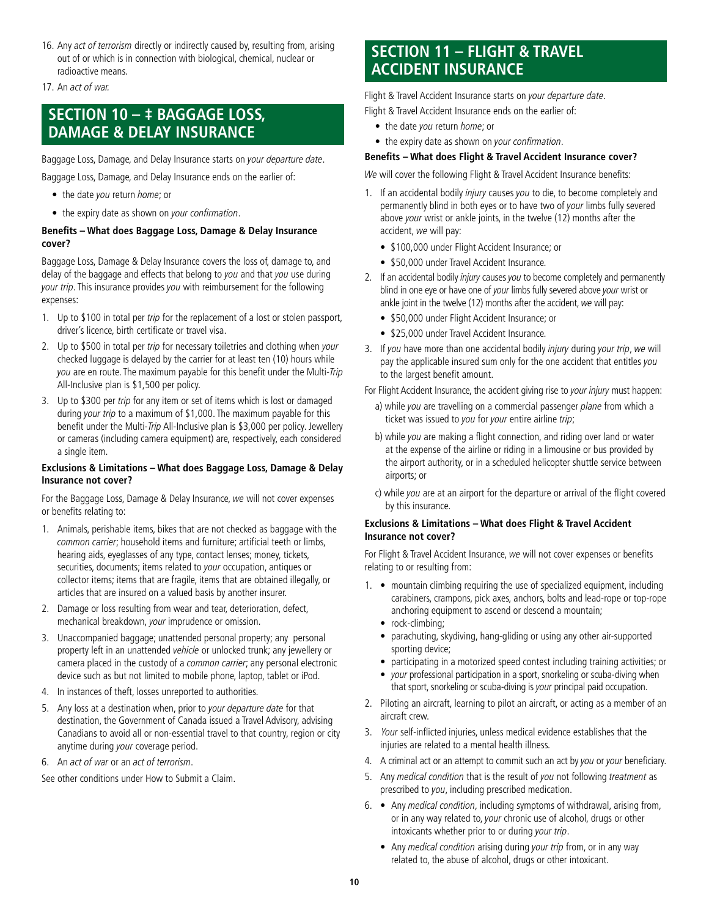16. Any act of terrorism directly or indirectly caused by, resulting from, arising out of or which is in connection with biological, chemical, nuclear or radioactive means.

17. An act of war.

## **SECTION 10 – ‡ BAGGAGE LOSS, DAMAGE & DELAY INSURANCE**

Baggage Loss, Damage, and Delay Insurance starts on your departure date.

Baggage Loss, Damage, and Delay Insurance ends on the earlier of:

- the date you return home; or
- the expiry date as shown on your confirmation.

#### **Benefits – What does Baggage Loss, Damage & Delay Insurance cover?**

Baggage Loss, Damage & Delay Insurance covers the loss of, damage to, and delay of the baggage and effects that belong to you and that you use during your trip. This insurance provides you with reimbursement for the following expenses:

- 1. Up to \$100 in total per trip for the replacement of a lost or stolen passport, driver's licence, birth certificate or travel visa.
- 2. Up to \$500 in total per trip for necessary toiletries and clothing when your checked luggage is delayed by the carrier for at least ten (10) hours while you are en route. The maximum payable for this benefit under the Multi-Trip All-Inclusive plan is \$1,500 per policy.
- 3. Up to \$300 per trip for any item or set of items which is lost or damaged during your trip to a maximum of \$1,000. The maximum payable for this benefit under the Multi-Trip All-Inclusive plan is \$3,000 per policy. Jewellery or cameras (including camera equipment) are, respectively, each considered a single item.

#### **Exclusions & Limitations – What does Baggage Loss, Damage & Delay Insurance not cover?**

For the Baggage Loss, Damage & Delay Insurance, we will not cover expenses or benefits relating to:

- 1. Animals, perishable items, bikes that are not checked as baggage with the common carrier; household items and furniture; artificial teeth or limbs, hearing aids, eyeglasses of any type, contact lenses; money, tickets, securities, documents; items related to your occupation, antiques or collector items; items that are fragile, items that are obtained illegally, or articles that are insured on a valued basis by another insurer.
- 2. Damage or loss resulting from wear and tear, deterioration, defect, mechanical breakdown, your imprudence or omission.
- 3. Unaccompanied baggage; unattended personal property; any personal property left in an unattended vehicle or unlocked trunk; any jewellery or camera placed in the custody of a common carrier; any personal electronic device such as but not limited to mobile phone, laptop, tablet or iPod.
- 4. In instances of theft, losses unreported to authorities.
- 5. Any loss at a destination when, prior to your departure date for that destination, the Government of Canada issued a Travel Advisory, advising Canadians to avoid all or non-essential travel to that country, region or city anytime during your coverage period.
- 6. An act of war or an act of terrorism.

See other conditions under How to Submit a Claim.

## **SECTION 11 – FLIGHT & TRAVEL ACCIDENT INSURANCE**

Flight & Travel Accident Insurance starts on your departure date. Flight & Travel Accident Insurance ends on the earlier of:

- the date you return home; or
- the expiry date as shown on your confirmation.

#### **Benefits – What does Flight & Travel Accident Insurance cover?**

We will cover the following Flight & Travel Accident Insurance benefits:

- 1. If an accidental bodily *injury* causes you to die, to become completely and permanently blind in both eyes or to have two of your limbs fully severed above your wrist or ankle joints, in the twelve (12) months after the accident, we will pay:
	- \$100,000 under Flight Accident Insurance; or
	- \$50,000 under Travel Accident Insurance.
- 2. If an accidental bodily *injury* causes you to become completely and permanently blind in one eye or have one of your limbs fully severed above your wrist or ankle joint in the twelve (12) months after the accident, we will pay:
	- \$50,000 under Flight Accident Insurance; or
	- \$25,000 under Travel Accident Insurance.
- 3. If you have more than one accidental bodily *injury* during your trip, we will pay the applicable insured sum only for the one accident that entitles you to the largest benefit amount.

For Flight Accident Insurance, the accident giving rise to your injury must happen:

- a) while you are travelling on a commercial passenger plane from which a ticket was issued to you for your entire airline trip;
- b) while you are making a flight connection, and riding over land or water at the expense of the airline or riding in a limousine or bus provided by the airport authority, or in a scheduled helicopter shuttle service between airports; or
- c) while you are at an airport for the departure or arrival of the flight covered by this insurance.

#### **Exclusions & Limitations – What does Flight & Travel Accident Insurance not cover?**

For Flight & Travel Accident Insurance, we will not cover expenses or benefits relating to or resulting from:

- 1. mountain climbing requiring the use of specialized equipment, including carabiners, crampons, pick axes, anchors, bolts and lead-rope or top-rope anchoring equipment to ascend or descend a mountain;
	- rock-climbing;
	- parachuting, skydiving, hang-gliding or using any other air-supported sporting device;
	- participating in a motorized speed contest including training activities; or
	- your professional participation in a sport, snorkeling or scuba-diving when that sport, snorkeling or scuba-diving is your principal paid occupation.
- 2. Piloting an aircraft, learning to pilot an aircraft, or acting as a member of an aircraft crew.
- 3. Your self-inflicted injuries, unless medical evidence establishes that the injuries are related to a mental health illness.
- 4. A criminal act or an attempt to commit such an act by you or your beneficiary.
- 5. Any medical condition that is the result of you not following treatment as prescribed to you, including prescribed medication.
- 6. Any medical condition, including symptoms of withdrawal, arising from, or in any way related to, your chronic use of alcohol, drugs or other intoxicants whether prior to or during your trip.
	- Any *medical condition* arising during *your trip* from, or in any way related to, the abuse of alcohol, drugs or other intoxicant.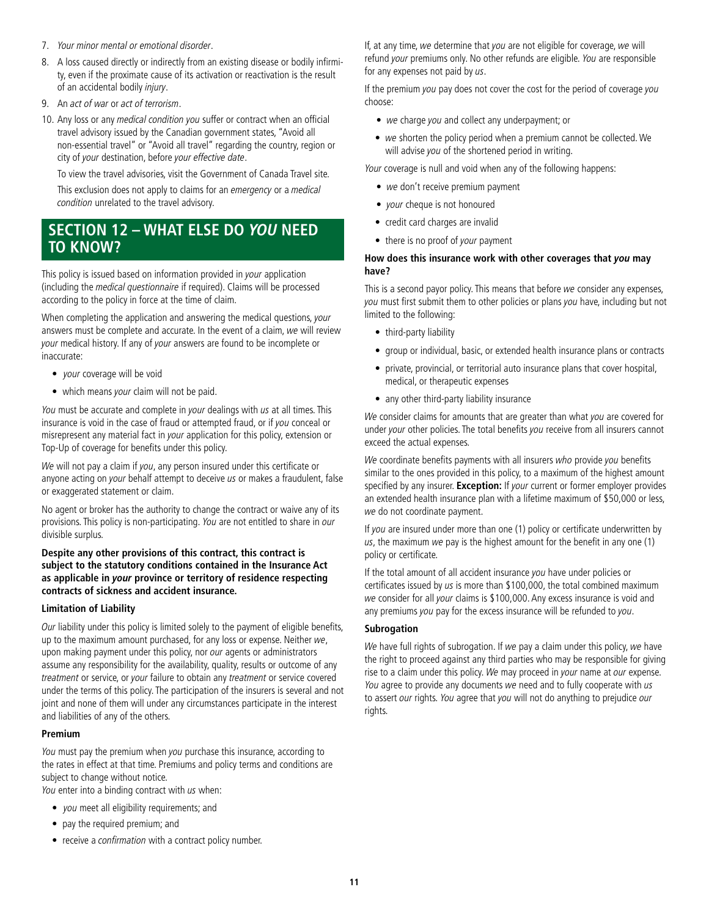- 7. Your minor mental or emotional disorder.
- 8. A loss caused directly or indirectly from an existing disease or bodily infirmity, even if the proximate cause of its activation or reactivation is the result of an accidental bodily injury.
- 9. An act of war or act of terrorism.
- 10. Any loss or any medical condition you suffer or contract when an official travel advisory issued by the Canadian government states, "Avoid all non-essential travel" or "Avoid all travel" regarding the country, region or city of your destination, before your effective date.

To view the travel advisories, visit the Government of Canada Travel site.

This exclusion does not apply to claims for an emergency or a medical condition unrelated to the travel advisory.

## **SECTION 12 – WHAT ELSE DO YOU NEED TO KNOW?**

This policy is issued based on information provided in your application (including the medical questionnaire if required). Claims will be processed according to the policy in force at the time of claim.

When completing the application and answering the medical questions, your answers must be complete and accurate. In the event of a claim, we will review your medical history. If any of your answers are found to be incomplete or inaccurate:

- your coverage will be void
- which means your claim will not be paid.

You must be accurate and complete in your dealings with us at all times. This insurance is void in the case of fraud or attempted fraud, or if you conceal or misrepresent any material fact in your application for this policy, extension or Top-Up of coverage for benefits under this policy.

We will not pay a claim if you, any person insured under this certificate or anyone acting on your behalf attempt to deceive us or makes a fraudulent, false or exaggerated statement or claim.

No agent or broker has the authority to change the contract or waive any of its provisions. This policy is non-participating. You are not entitled to share in our divisible surplus.

#### **Despite any other provisions of this contract, this contract is subject to the statutory conditions contained in the Insurance Act as applicable in your province or territory of residence respecting contracts of sickness and accident insurance.**

#### **Limitation of Liability**

Our liability under this policy is limited solely to the payment of eligible benefits, up to the maximum amount purchased, for any loss or expense. Neither we, upon making payment under this policy, nor our agents or administrators assume any responsibility for the availability, quality, results or outcome of any treatment or service, or your failure to obtain any treatment or service covered under the terms of this policy. The participation of the insurers is several and not joint and none of them will under any circumstances participate in the interest and liabilities of any of the others.

#### **Premium**

You must pay the premium when you purchase this insurance, according to the rates in effect at that time. Premiums and policy terms and conditions are subject to change without notice.

You enter into a binding contract with us when:

- you meet all eligibility requirements; and
- pay the required premium; and
- receive a confirmation with a contract policy number.

If, at any time, we determine that you are not eligible for coverage, we will refund your premiums only. No other refunds are eligible. You are responsible for any expenses not paid by us.

If the premium you pay does not cover the cost for the period of coverage you choose:

- we charge you and collect any underpayment; or
- we shorten the policy period when a premium cannot be collected. We will advise you of the shortened period in writing.

Your coverage is null and void when any of the following happens:

- we don't receive premium payment
- your cheque is not honoured
- credit card charges are invalid
- there is no proof of your payment

#### **How does this insurance work with other coverages that you may have?**

This is a second payor policy. This means that before we consider any expenses, you must first submit them to other policies or plans you have, including but not limited to the following:

- third-party liability
- group or individual, basic, or extended health insurance plans or contracts
- private, provincial, or territorial auto insurance plans that cover hospital, medical, or therapeutic expenses
- any other third-party liability insurance

We consider claims for amounts that are greater than what you are covered for under your other policies. The total benefits you receive from all insurers cannot exceed the actual expenses.

We coordinate benefits payments with all insurers who provide you benefits similar to the ones provided in this policy, to a maximum of the highest amount specified by any insurer. **Exception:** If your current or former employer provides an extended health insurance plan with a lifetime maximum of \$50,000 or less, we do not coordinate payment.

If you are insured under more than one (1) policy or certificate underwritten by us, the maximum we pay is the highest amount for the benefit in any one  $(1)$ policy or certificate.

If the total amount of all accident insurance you have under policies or certificates issued by us is more than \$100,000, the total combined maximum we consider for all your claims is \$100,000. Any excess insurance is void and any premiums you pay for the excess insurance will be refunded to you.

#### **Subrogation**

We have full rights of subrogation. If we pay a claim under this policy, we have the right to proceed against any third parties who may be responsible for giving rise to a claim under this policy. We may proceed in your name at our expense. You agree to provide any documents we need and to fully cooperate with us to assert our rights. You agree that you will not do anything to prejudice our rights.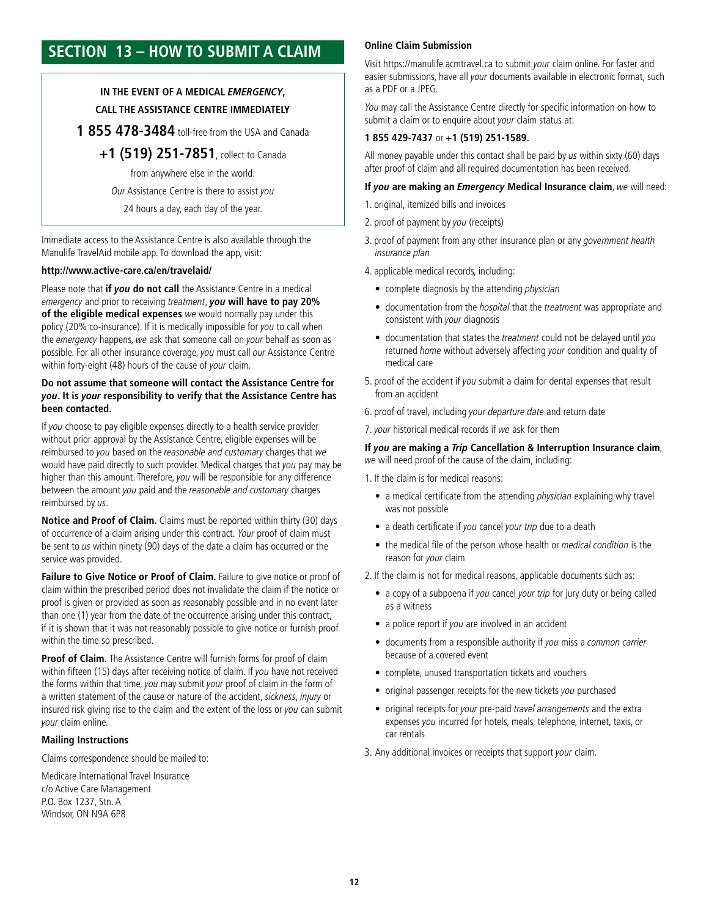# **SECTION 13 – HOW TO SUBMIT A CLAIM**

### **IN THE EVENT OF A MEDICAL EMERGENCY, CALL THE ASSISTANCE CENTRE IMMEDIATELY**

**1 855 478-3484** toll-free from the USA and Canada

**+1 (519) 251-7851**, collect to Canada from anywhere else in the world. Our Assistance Centre is there to assist you

24 hours a day, each day of the year.

Immediate access to the Assistance Centre is also available through the Manulife TravelAid mobile app. To download the app, visit:

#### **[http://www.active-care.ca/en/travelaid](http://www.active-care.ca/en/travelaid/)/**

Please note that **if you do not call** the Assistance Centre in a medical emergency and prior to receiving treatment, **you will have to pay 20% of the eligible medical expenses** we would normally pay under this policy (20% co-insurance). If it is medically impossible for you to call when the emergency happens, we ask that someone call on your behalf as soon as possible. For all other insurance coverage, you must call our Assistance Centre within forty-eight (48) hours of the cause of your claim.

#### **Do not assume that someone will contact the Assistance Centre for you. It is your responsibility to verify that the Assistance Centre has been contacted.**

If you choose to pay eligible expenses directly to a health service provider without prior approval by the Assistance Centre, eligible expenses will be reimbursed to you based on the reasonable and customary charges that we would have paid directly to such provider. Medical charges that you pay may be higher than this amount. Therefore, you will be responsible for any difference between the amount you paid and the reasonable and customary charges reimbursed by us.

**Notice and Proof of Claim.** Claims must be reported within thirty (30) days of occurrence of a claim arising under this contract. Your proof of claim must be sent to us within ninety (90) days of the date a claim has occurred or the service was provided.

**Failure to Give Notice or Proof of Claim.** Failure to give notice or proof of claim within the prescribed period does not invalidate the claim if the notice or proof is given or provided as soon as reasonably possible and in no event later than one (1) year from the date of the occurrence arising under this contract, if it is shown that it was not reasonably possible to give notice or furnish proof within the time so prescribed.

**Proof of Claim.** The Assistance Centre will furnish forms for proof of claim within fifteen (15) days after receiving notice of claim. If you have not received the forms within that time, you may submit your proof of claim in the form of a written statement of the cause or nature of the accident, sickness, injury or insured risk giving rise to the claim and the extent of the loss or you can submit your claim online.

#### **Mailing Instructions**

Claims correspondence should be mailed to:

Medicare International Travel Insurance c/o Active Care Management P.O. Box 1237, Stn. A Windsor, ON N9A 6P8

#### **Online Claim Submission**

Visit [https://manulife.acmtravel.ca t](https://manulife.acmtravel.ca)o submit your claim online. For faster and easier submissions, have all your documents available in electronic format, such as a PDF or a JPEG.

You may call the Assistance Centre directly for specific information on how to submit a claim or to enquire about your claim status at:

#### **1 855 429-7437** or **+1 (519) 251-1589.**

All money payable under this contact shall be paid by  $\mu$ s within sixty (60) days after proof of claim and all required documentation has been received.

#### **If you are making an** *Emergency* **Medical Insurance claim**, we will need:

- 1. original, itemized bills and invoices
- 2. proof of payment by you (receipts)
- 3. proof of payment from any other insurance plan or any government health insurance plan

4. applicable medical records, including:

- complete diagnosis by the attending *physician*
- documentation from the *hospital* that the *treatment* was appropriate and consistent with your diagnosis
- documentation that states the treatment could not be delayed until you returned home without adversely affecting your condition and quality of medical care
- 5. proof of the accident if you submit a claim for dental expenses that result from an accident
- 6. proof of travel, including your departure date and return date

7. your historical medical records if we ask for them

#### **If you are making a Trip Cancellation & Interruption Insurance claim**, we will need proof of the cause of the claim, including:

1. If the claim is for medical reasons:

- a medical certificate from the attending *physician* explaining why travel was not possible
- a death certificate if you cancel your trip due to a death
- the medical file of the person whose health or medical condition is the reason for your claim

2. If the claim is not for medical reasons, applicable documents such as:

- a copy of a subpoena if you cancel your trip for jury duty or being called as a witness
- a police report if you are involved in an accident
- documents from a responsible authority if you miss a common carrier because of a covered event
- complete, unused transportation tickets and vouchers
- original passenger receipts for the new tickets you purchased
- original receipts for your pre-paid travel arrangements and the extra expenses you incurred for hotels, meals, telephone, internet, taxis, or car rentals
- 3. Any additional invoices or receipts that support your claim.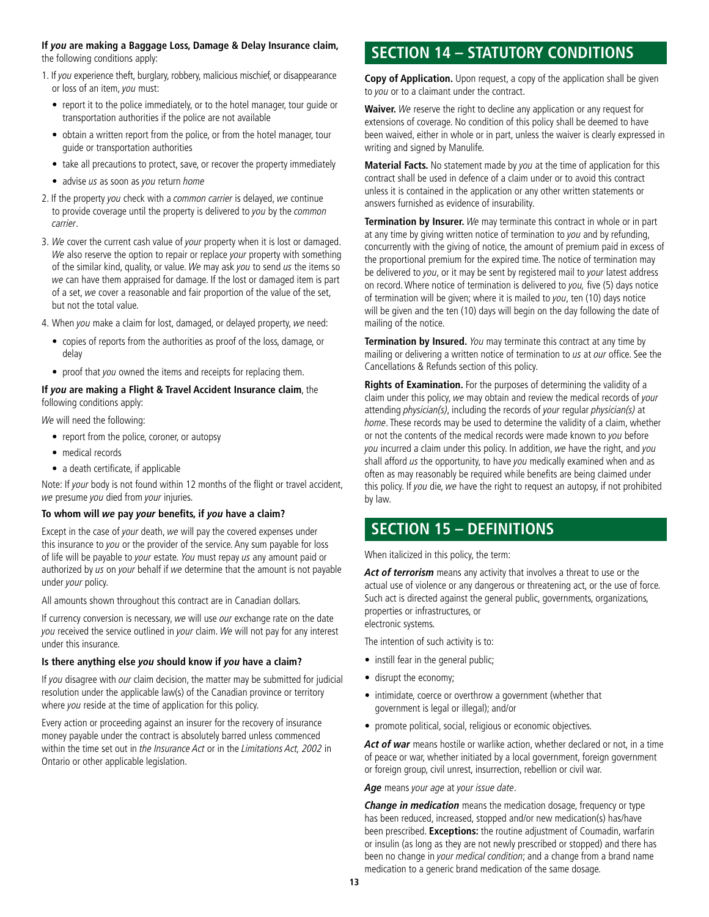#### **If you are making a Baggage Loss, Damage & Delay Insurance claim,**  the following conditions apply:

- 1. If you experience theft, burglary, robbery, malicious mischief, or disappearance or loss of an item, you must:
	- report it to the police immediately, or to the hotel manager, tour guide or transportation authorities if the police are not available
	- obtain a written report from the police, or from the hotel manager, tour guide or transportation authorities
	- take all precautions to protect, save, or recover the property immediately
	- advise us as soon as you return home
- 2. If the property you check with a common carrier is delayed, we continue to provide coverage until the property is delivered to you by the common carrier.
- 3. We cover the current cash value of your property when it is lost or damaged.<br>We also reserve the option to repair or replace your property with something of the similar kind, quality, or value. We may ask you to send us the items so we can have them appraised for damage. If the lost or damaged item is part of a set, we cover a reasonable and fair proportion of the value of the set, but not the total value.
- 4. When you make a claim for lost, damaged, or delayed property, we need:
	- copies of reports from the authorities as proof of the loss, damage, or delay
	- proof that you owned the items and receipts for replacing them.

#### **If you are making a Flight & Travel Accident Insurance claim**, the following conditions apply:

We will need the following:

- report from the police, coroner, or autopsy
- medical records
- a death certificate, if applicable

Note: If your body is not found within 12 months of the flight or travel accident, we presume you died from your injuries.

#### **To whom will we pay your benefits, if you have a claim?**

Except in the case of your death, we will pay the covered expenses under this insurance to you or the provider of the service. Any sum payable for loss of life will be payable to your estate. You must repay us any amount paid or authorized by us on your behalf if we determine that the amount is not payable under your policy.

All amounts shown throughout this contract are in Canadian dollars.

If currency conversion is necessary, we will use our exchange rate on the date you received the service outlined in your claim. We will not pay for any interest under this insurance.

#### **Is there anything else you should know if you have a claim?**

If you disagree with our claim decision, the matter may be submitted for judicial resolution under the applicable law(s) of the Canadian province or territory where you reside at the time of application for this policy.

Every action or proceeding against an insurer for the recovery of insurance money payable under the contract is absolutely barred unless commenced within the time set out in the Insurance Act or in the Limitations Act, 2002 in Ontario or other applicable legislation.

# **SECTION 14 – STATUTORY CONDITIONS**

**Copy of Application.** Upon request, a copy of the application shall be given to you or to a claimant under the contract.

**Waiver.** We reserve the right to decline any application or any request for extensions of coverage. No condition of this policy shall be deemed to have been waived, either in whole or in part, unless the waiver is clearly expressed in writing and signed by Manulife.

**Material Facts.** No statement made by you at the time of application for this contract shall be used in defence of a claim under or to avoid this contract unless it is contained in the application or any other written statements or answers furnished as evidence of insurability.

**Termination by Insurer.** We may terminate this contract in whole or in part at any time by giving written notice of termination to you and by refunding, concurrently with the giving of notice, the amount of premium paid in excess of the proportional premium for the expired time. The notice of termination may be delivered to you, or it may be sent by registered mail to your latest address on record. Where notice of termination is delivered to you, five (5) days notice of termination will be given; where it is mailed to you, ten (10) days notice will be given and the ten (10) days will begin on the day following the date of mailing of the notice.

**Termination by Insured.** You may terminate this contract at any time by mailing or delivering a written notice of termination to us at our office. See the Cancellations & Refunds section of this policy.

**Rights of Examination.** For the purposes of determining the validity of a claim under this policy, we may obtain and review the medical records of your attending physician(s), including the records of your regular physician(s) at home. These records may be used to determine the validity of a claim, whether or not the contents of the medical records were made known to you before you incurred a claim under this policy. In addition, we have the right, and you shall afford us the opportunity, to have you medically examined when and as often as may reasonably be required while benefits are being claimed under this policy. If you die, we have the right to request an autopsy, if not prohibited by law.

# **SECTION 15 – DEFINITIONS**

When italicized in this policy, the term:

**Act of terrorism** means any activity that involves a threat to use or the actual use of violence or any dangerous or threatening act, or the use of force. Such act is directed against the general public, governments, organizations, properties or infrastructures, or electronic systems.

The intention of such activity is to:

- instill fear in the general public;
- disrupt the economy;
- intimidate, coerce or overthrow a government (whether that government is legal or illegal); and/or
- promote political, social, religious or economic objectives.

**Act of war** means hostile or warlike action, whether declared or not, in a time of peace or war, whether initiated by a local government, foreign government or foreign group, civil unrest, insurrection, rebellion or civil war.

Age means your age at your issue date.

**Change in medication** means the medication dosage, frequency or type has been reduced, increased, stopped and/or new medication(s) has/have been prescribed. **Exceptions:** the routine adjustment of Coumadin, warfarin or insulin (as long as they are not newly prescribed or stopped) and there has been no change in your medical condition; and a change from a brand name medication to a generic brand medication of the same dosage.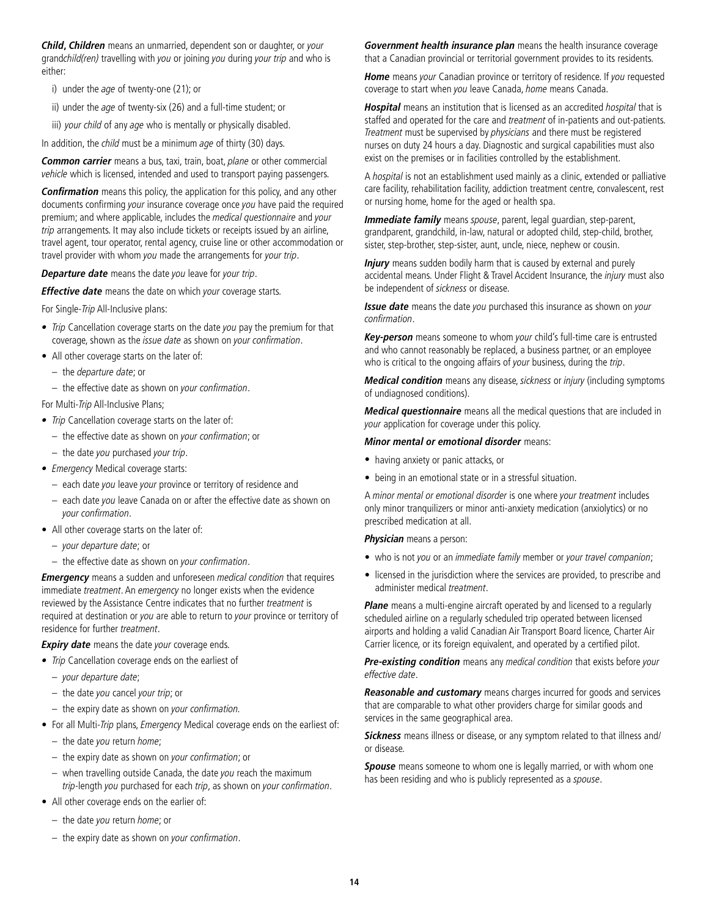**Child, Children** means an unmarried, dependent son or daughter, or your grandchild(ren) travelling with you or joining you during your trip and who is either:

- i) under the age of twenty-one (21); or
- ii) under the age of twenty-six (26) and a full-time student; or
- iii) your child of any age who is mentally or physically disabled.

In addition, the *child* must be a minimum age of thirty (30) days.

**Common carrier** means a bus, taxi, train, boat, plane or other commercial vehicle which is licensed, intended and used to transport paying passengers.

**Confirmation** means this policy, the application for this policy, and any other documents confirming your insurance coverage once you have paid the required premium; and where applicable, includes the medical questionnaire and your trip arrangements. It may also include tickets or receipts issued by an airline, travel agent, tour operator, rental agency, cruise line or other accommodation or travel provider with whom you made the arrangements for your trip.

**Departure date** means the date you leave for your trip.

**Effective date** means the date on which your coverage starts.

For Single-Trip All-Inclusive plans:

- Trip Cancellation coverage starts on the date you pay the premium for that coverage, shown as the issue date as shown on your confirmation.
- All other coverage starts on the later of:
	- the departure date; or
	- the effective date as shown on your confirmation.

For Multi-Trip All-Inclusive Plans;

- Trip Cancellation coverage starts on the later of:
- the effective date as shown on your confirmation; or
- the date you purchased your trip.
- Emergency Medical coverage starts:
	- each date you leave your province or territory of residence and
	- each date you leave Canada on or after the effective date as shown on your confirmation.
- All other coverage starts on the later of:
	- your departure date; or
	- the effective date as shown on your confirmation.

**Emergency** means a sudden and unforeseen medical condition that requires immediate *treatment*. An *emergency* no longer exists when the evidence reviewed by the Assistance Centre indicates that no further treatment is required at destination or you are able to return to your province or territory of residence for further treatment.

**Expiry date** means the date your coverage ends.

- Trip Cancellation coverage ends on the earliest of
	- your departure date;
	- the date you cancel your trip; or
	- the expiry date as shown on your confirmation.
- For all Multi-Trip plans, Emergency Medical coverage ends on the earliest of:
	- the date you return home;
	- the expiry date as shown on your confirmation; or
	- $-$  when travelling outside Canada, the date you reach the maximum trip-length you purchased for each trip, as shown on your confirmation.
- All other coverage ends on the earlier of:
	- the date you return home; or
	- the expiry date as shown on your confirmation.

**Government health insurance plan** means the health insurance coverage that a Canadian provincial or territorial government provides to its residents.

**Home** means your Canadian province or territory of residence. If you requested coverage to start when you leave Canada, home means Canada.

**Hospital** means an institution that is licensed as an accredited hospital that is staffed and operated for the care and treatment of in-patients and out-patients. Treatment must be supervised by physicians and there must be registered nurses on duty 24 hours a day. Diagnostic and surgical capabilities must also exist on the premises or in facilities controlled by the establishment.

A hospital is not an establishment used mainly as a clinic, extended or palliative care facility, rehabilitation facility, addiction treatment centre, convalescent, rest or nursing home, home for the aged or health spa.

**Immediate family** means spouse, parent, legal guardian, step-parent, grandparent, grandchild, in-law, natural or adopted child, step-child, brother, sister, step-brother, step-sister, aunt, uncle, niece, nephew or cousin.

**Injury** means sudden bodily harm that is caused by external and purely accidental means. Under Flight & Travel Accident Insurance, the *injury* must also be independent of sickness or disease.

**Issue date** means the date you purchased this insurance as shown on your confirmation.

**Key-person** means someone to whom your child's full-time care is entrusted and who cannot reasonably be replaced, a business partner, or an employee who is critical to the ongoing affairs of your business, during the trip.

**Medical condition** means any disease, sickness or injury (including symptoms of undiagnosed conditions).

**Medical questionnaire** means all the medical questions that are included in your application for coverage under this policy.

#### **Minor mental or emotional disorder** means:

- having anxiety or panic attacks, or
- being in an emotional state or in a stressful situation.

A minor mental or emotional disorder is one where your treatment includes only minor tranquilizers or minor anti-anxiety medication (anxiolytics) or no prescribed medication at all.

**Physician** means a person:

- who is not you or an immediate family member or your travel companion;
- licensed in the jurisdiction where the services are provided, to prescribe and administer medical treatment.

**Plane** means a multi-engine aircraft operated by and licensed to a regularly scheduled airline on a regularly scheduled trip operated between licensed airports and holding a valid Canadian Air Transport Board licence, Charter Air Carrier licence, or its foreign equivalent, and operated by a certified pilot.

**Pre-existing condition** means any medical condition that exists before your effective date.

**Reasonable and customary** means charges incurred for goods and services that are comparable to what other providers charge for similar goods and services in the same geographical area.

**Sickness** means illness or disease, or any symptom related to that illness and/ or disease.

**Spouse** means someone to whom one is legally married, or with whom one has been residing and who is publicly represented as a spouse.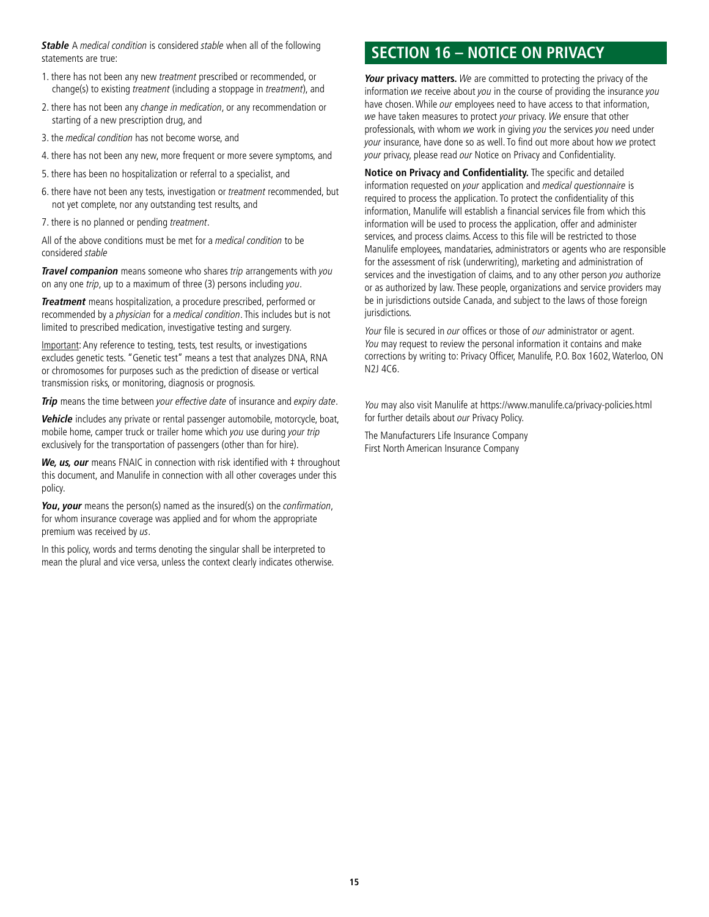**Stable** A medical condition is considered stable when all of the following statements are true:

- 1. there has not been any new treatment prescribed or recommended, or change(s) to existing treatment (including a stoppage in treatment), and
- 2. there has not been any change in medication, or any recommendation or starting of a new prescription drug, and
- 3. the medical condition has not become worse, and
- 4. there has not been any new, more frequent or more severe symptoms, and
- 5. there has been no hospitalization or referral to a specialist, and
- 6. there have not been any tests, investigation or treatment recommended, but not yet complete, nor any outstanding test results, and
- 7. there is no planned or pending treatment.

All of the above conditions must be met for a medical condition to be considered stable

**Travel companion** means someone who shares trip arrangements with you on any one trip, up to a maximum of three (3) persons including you.

**Treatment** means hospitalization, a procedure prescribed, performed or recommended by a physician for a medical condition. This includes but is not limited to prescribed medication, investigative testing and surgery.

Important: Any reference to testing, tests, test results, or investigations excludes genetic tests. "Genetic test" means a test that analyzes DNA, RNA or chromosomes for purposes such as the prediction of disease or vertical transmission risks, or monitoring, diagnosis or prognosis.

**Trip** means the time between your effective date of insurance and expiry date.

**Vehicle** includes any private or rental passenger automobile, motorcycle, boat, mobile home, camper truck or trailer home which you use during your trip exclusively for the transportation of passengers (other than for hire).

We, us, our means FNAIC in connection with risk identified with  $\ddagger$  throughout this document, and Manulife in connection with all other coverages under this policy.

**You**, your means the person(s) named as the insured(s) on the *confirmation*, for whom insurance coverage was applied and for whom the appropriate premium was received by us.

In this policy, words and terms denoting the singular shall be interpreted to mean the plural and vice versa, unless the context clearly indicates otherwise.

# **SECTION 16 – NOTICE ON PRIVACY**

**Your privacy matters.** We are committed to protecting the privacy of the information we receive about you in the course of providing the insurance you have chosen. While *our* employees need to have access to that information, we have taken measures to protect your privacy. We ensure that other professionals, with whom we work in giving you the services you need under your insurance, have done so as well. To find out more about how we protect your privacy, please read our Notice on Privacy and Confidentiality.

**Notice on Privacy and Confidentiality.** The specific and detailed information requested on your application and medical questionnaire is required to process the application. To protect the confidentiality of this information, Manulife will establish a financial services file from which this information will be used to process the application, offer and administer services, and process claims. Access to this file will be restricted to those Manulife employees, mandataries, administrators or agents who are responsible for the assessment of risk (underwriting), marketing and administration of services and the investigation of claims, and to any other person you authorize or as authorized by law. These people, organizations and service providers may be in jurisdictions outside Canada, and subject to the laws of those foreign jurisdictions.

Your file is secured in our offices or those of our administrator or agent. You may request to review the personal information it contains and make corrections by writing to: Privacy Officer, Manulife, P.O. Box 1602, Waterloo, ON N2J 4C6.

You may also visit Manulife at <https://www.manulife.ca/privacy-policies.html> for further details about our Privacy Policy.

The Manufacturers Life Insurance Company First North American Insurance Company